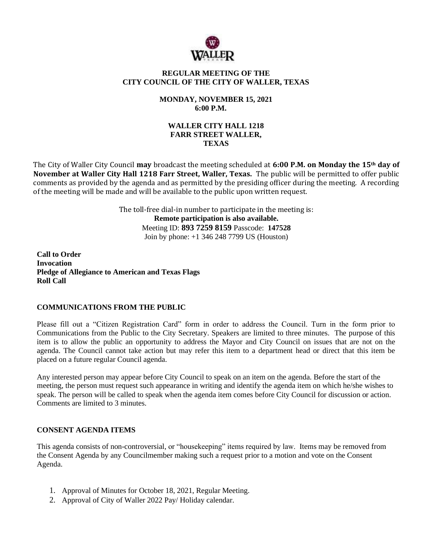

# **REGULAR MEETING OF THE CITY COUNCIL OF THE CITY OF WALLER, TEXAS**

# **MONDAY, NOVEMBER 15, 2021 6:00 P.M.**

## **WALLER CITY HALL 1218 FARR STREET WALLER, TEXAS**

The City of Waller City Council **may** broadcast the meeting scheduled at **6:00 P.M. on Monday the 15th day of November at Waller City Hall 1218 Farr Street, Waller, Texas.** The public will be permitted to offer public comments as provided by the agenda and as permitted by the presiding officer during the meeting. A recording of the meeting will be made and will be available to the public upon written request.

> The toll-free dial-in number to participate in the meeting is: **Remote participation is also available.** Meeting ID: **893 7259 8159** Passcode: **147528** Join by phone: +1 346 248 7799 US (Houston)

**Call to Order Invocation Pledge of Allegiance to American and Texas Flags Roll Call**

### **COMMUNICATIONS FROM THE PUBLIC**

Please fill out a "Citizen Registration Card" form in order to address the Council. Turn in the form prior to Communications from the Public to the City Secretary. Speakers are limited to three minutes. The purpose of this item is to allow the public an opportunity to address the Mayor and City Council on issues that are not on the agenda. The Council cannot take action but may refer this item to a department head or direct that this item be placed on a future regular Council agenda.

Any interested person may appear before City Council to speak on an item on the agenda. Before the start of the meeting, the person must request such appearance in writing and identify the agenda item on which he/she wishes to speak. The person will be called to speak when the agenda item comes before City Council for discussion or action. Comments are limited to 3 minutes.

### **CONSENT AGENDA ITEMS**

This agenda consists of non-controversial, or "housekeeping" items required by law. Items may be removed from the Consent Agenda by any Councilmember making such a request prior to a motion and vote on the Consent Agenda.

- 1. Approval of Minutes for October 18, 2021, Regular Meeting.
- 2. Approval of City of Waller 2022 Pay/ Holiday calendar.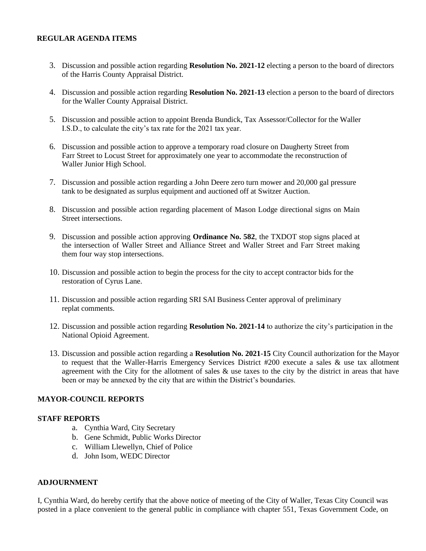## **REGULAR AGENDA ITEMS**

- 3. Discussion and possible action regarding **Resolution No. 2021-12** electing a person to the board of directors of the Harris County Appraisal District.
- 4. Discussion and possible action regarding **Resolution No. 2021-13** election a person to the board of directors for the Waller County Appraisal District.
- 5. Discussion and possible action to appoint Brenda Bundick, Tax Assessor/Collector for the Waller I.S.D., to calculate the city's tax rate for the 2021 tax year.
- 6. Discussion and possible action to approve a temporary road closure on Daugherty Street from Farr Street to Locust Street for approximately one year to accommodate the reconstruction of Waller Junior High School.
- 7. Discussion and possible action regarding a John Deere zero turn mower and 20,000 gal pressure tank to be designated as surplus equipment and auctioned off at Switzer Auction.
- 8. Discussion and possible action regarding placement of Mason Lodge directional signs on Main Street intersections.
- 9. Discussion and possible action approving **Ordinance No. 582**, the TXDOT stop signs placed at the intersection of Waller Street and Alliance Street and Waller Street and Farr Street making them four way stop intersections.
- 10. Discussion and possible action to begin the process for the city to accept contractor bids for the restoration of Cyrus Lane.
- 11. Discussion and possible action regarding SRI SAI Business Center approval of preliminary replat comments.
- 12. Discussion and possible action regarding **Resolution No. 2021-14** to authorize the city's participation in the National Opioid Agreement.
- 13. Discussion and possible action regarding a **Resolution No. 2021**-**15** City Council authorization for the Mayor to request that the Waller-Harris Emergency Services District #200 execute a sales & use tax allotment agreement with the City for the allotment of sales  $\&$  use taxes to the city by the district in areas that have been or may be annexed by the city that are within the District's boundaries.

### **MAYOR-COUNCIL REPORTS**

#### **STAFF REPORTS**

- a. Cynthia Ward, City Secretary
- b. Gene Schmidt, Public Works Director
- c. William Llewellyn, Chief of Police
- d. John Isom, WEDC Director

### **ADJOURNMENT**

I, Cynthia Ward, do hereby certify that the above notice of meeting of the City of Waller, Texas City Council was posted in a place convenient to the general public in compliance with chapter 551, Texas Government Code, on